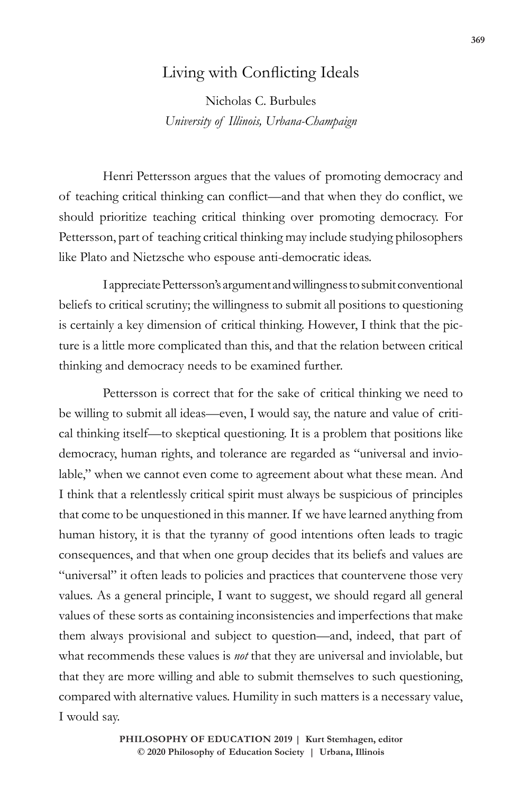## Living with Conflicting Ideals

Nicholas C. Burbules *University of Illinois, Urbana-Champaign*

Henri Pettersson argues that the values of promoting democracy and of teaching critical thinking can conflict—and that when they do conflict, we should prioritize teaching critical thinking over promoting democracy. For Pettersson, part of teaching critical thinking may include studying philosophers like Plato and Nietzsche who espouse anti-democratic ideas.

I appreciate Pettersson's argument and willingness to submit conventional beliefs to critical scrutiny; the willingness to submit all positions to questioning is certainly a key dimension of critical thinking. However, I think that the picture is a little more complicated than this, and that the relation between critical thinking and democracy needs to be examined further.

Pettersson is correct that for the sake of critical thinking we need to be willing to submit all ideas—even, I would say, the nature and value of critical thinking itself—to skeptical questioning. It is a problem that positions like democracy, human rights, and tolerance are regarded as "universal and inviolable," when we cannot even come to agreement about what these mean. And I think that a relentlessly critical spirit must always be suspicious of principles that come to be unquestioned in this manner. If we have learned anything from human history, it is that the tyranny of good intentions often leads to tragic consequences, and that when one group decides that its beliefs and values are "universal" it often leads to policies and practices that countervene those very values. As a general principle, I want to suggest, we should regard all general values of these sorts as containing inconsistencies and imperfections that make them always provisional and subject to question—and, indeed, that part of what recommends these values is *not* that they are universal and inviolable, but that they are more willing and able to submit themselves to such questioning, compared with alternative values. Humility in such matters is a necessary value, I would say.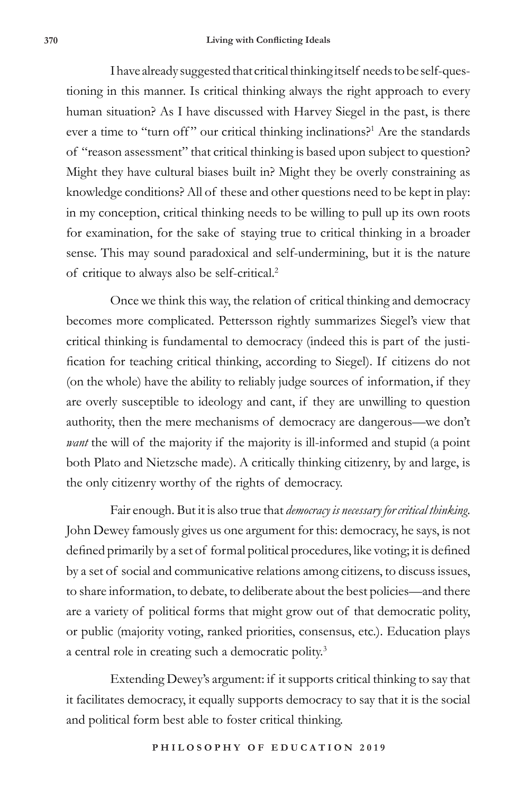I have already suggested that critical thinking itself needs to be self-questioning in this manner. Is critical thinking always the right approach to every human situation? As I have discussed with Harvey Siegel in the past, is there ever a time to "turn off" our critical thinking inclinations?<sup>1</sup> Are the standards of "reason assessment" that critical thinking is based upon subject to question? Might they have cultural biases built in? Might they be overly constraining as knowledge conditions? All of these and other questions need to be kept in play: in my conception, critical thinking needs to be willing to pull up its own roots for examination, for the sake of staying true to critical thinking in a broader sense. This may sound paradoxical and self-undermining, but it is the nature of critique to always also be self-critical.<sup>2</sup>

Once we think this way, the relation of critical thinking and democracy becomes more complicated. Pettersson rightly summarizes Siegel's view that critical thinking is fundamental to democracy (indeed this is part of the justification for teaching critical thinking, according to Siegel). If citizens do not (on the whole) have the ability to reliably judge sources of information, if they are overly susceptible to ideology and cant, if they are unwilling to question authority, then the mere mechanisms of democracy are dangerous—we don't *want* the will of the majority if the majority is ill-informed and stupid (a point both Plato and Nietzsche made). A critically thinking citizenry, by and large, is the only citizenry worthy of the rights of democracy.

Fair enough. But it is also true that *democracy is necessary for critical thinking*. John Dewey famously gives us one argument for this: democracy, he says, is not defined primarily by a set of formal political procedures, like voting; it is defined by a set of social and communicative relations among citizens, to discuss issues, to share information, to debate, to deliberate about the best policies—and there are a variety of political forms that might grow out of that democratic polity, or public (majority voting, ranked priorities, consensus, etc.). Education plays a central role in creating such a democratic polity.<sup>3</sup>

Extending Dewey's argument: if it supports critical thinking to say that it facilitates democracy, it equally supports democracy to say that it is the social and political form best able to foster critical thinking.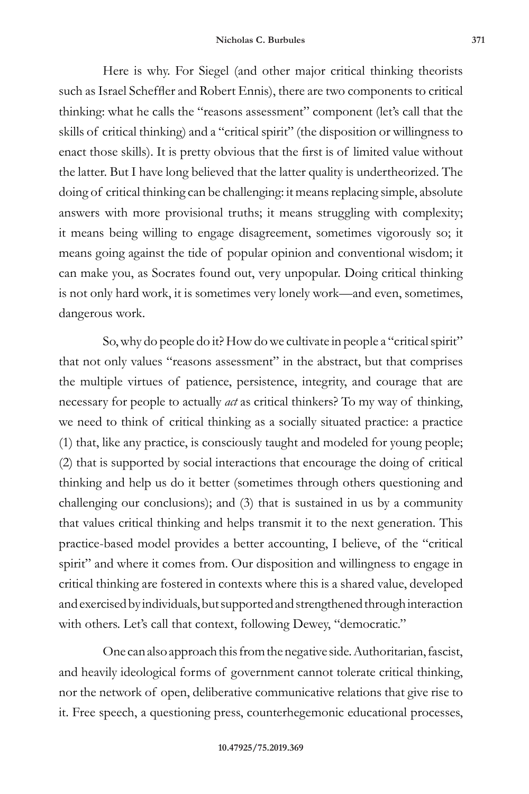Here is why. For Siegel (and other major critical thinking theorists such as Israel Scheffler and Robert Ennis), there are two components to critical thinking: what he calls the "reasons assessment" component (let's call that the skills of critical thinking) and a "critical spirit" (the disposition or willingness to enact those skills). It is pretty obvious that the first is of limited value without the latter. But I have long believed that the latter quality is undertheorized. The doing of critical thinking can be challenging: it means replacing simple, absolute answers with more provisional truths; it means struggling with complexity; it means being willing to engage disagreement, sometimes vigorously so; it means going against the tide of popular opinion and conventional wisdom; it can make you, as Socrates found out, very unpopular. Doing critical thinking is not only hard work, it is sometimes very lonely work—and even, sometimes, dangerous work.

So, why do people do it? How do we cultivate in people a "critical spirit" that not only values "reasons assessment" in the abstract, but that comprises the multiple virtues of patience, persistence, integrity, and courage that are necessary for people to actually *act* as critical thinkers? To my way of thinking, we need to think of critical thinking as a socially situated practice: a practice (1) that, like any practice, is consciously taught and modeled for young people; (2) that is supported by social interactions that encourage the doing of critical thinking and help us do it better (sometimes through others questioning and challenging our conclusions); and (3) that is sustained in us by a community that values critical thinking and helps transmit it to the next generation. This practice-based model provides a better accounting, I believe, of the "critical spirit" and where it comes from. Our disposition and willingness to engage in critical thinking are fostered in contexts where this is a shared value, developed and exercised by individuals, but supported and strengthened through interaction with others. Let's call that context, following Dewey, "democratic."

One can also approach this from the negative side. Authoritarian, fascist, and heavily ideological forms of government cannot tolerate critical thinking, nor the network of open, deliberative communicative relations that give rise to it. Free speech, a questioning press, counterhegemonic educational processes,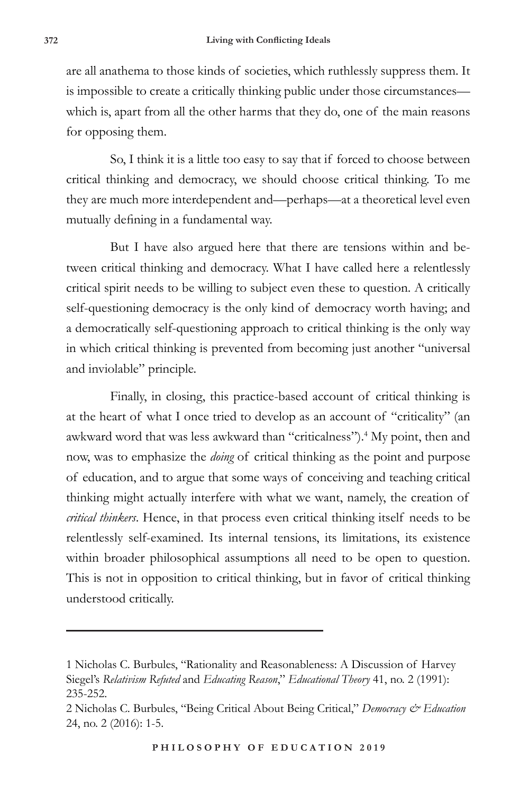are all anathema to those kinds of societies, which ruthlessly suppress them. It is impossible to create a critically thinking public under those circumstances which is, apart from all the other harms that they do, one of the main reasons for opposing them.

So, I think it is a little too easy to say that if forced to choose between critical thinking and democracy, we should choose critical thinking. To me they are much more interdependent and—perhaps—at a theoretical level even mutually defining in a fundamental way.

But I have also argued here that there are tensions within and between critical thinking and democracy. What I have called here a relentlessly critical spirit needs to be willing to subject even these to question. A critically self-questioning democracy is the only kind of democracy worth having; and a democratically self-questioning approach to critical thinking is the only way in which critical thinking is prevented from becoming just another "universal and inviolable" principle.

Finally, in closing, this practice-based account of critical thinking is at the heart of what I once tried to develop as an account of "criticality" (an awkward word that was less awkward than "criticalness").<sup>4</sup> My point, then and now, was to emphasize the *doing* of critical thinking as the point and purpose of education, and to argue that some ways of conceiving and teaching critical thinking might actually interfere with what we want, namely, the creation of *critical thinkers*. Hence, in that process even critical thinking itself needs to be relentlessly self-examined. Its internal tensions, its limitations, its existence within broader philosophical assumptions all need to be open to question. This is not in opposition to critical thinking, but in favor of critical thinking understood critically.

<sup>1</sup> Nicholas C. Burbules, "Rationality and Reasonableness: A Discussion of Harvey Siegel's *Relativism Refuted* and *Educating Reason*," *Educational Theory* 41, no. 2 (1991): 235-252.

<sup>2</sup> Nicholas C. Burbules, "Being Critical About Being Critical," *Democracy & Education* 24, no. 2 (2016): 1-5.